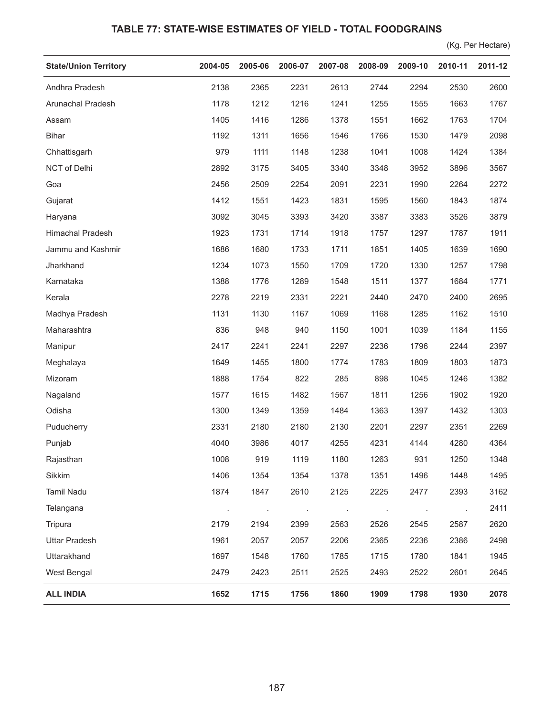## **TABLE 77: STATE-WISE ESTIMATES OF YIELD - TOTAL FOODGRAINS**

(Kg. Per Hectare)

| <b>State/Union Territory</b> | 2004-05 | 2005-06       | 2006-07 | 2007-08 | 2008-09 | 2009-10 | 2010-11 | 2011-12 |
|------------------------------|---------|---------------|---------|---------|---------|---------|---------|---------|
| Andhra Pradesh               | 2138    | 2365          | 2231    | 2613    | 2744    | 2294    | 2530    | 2600    |
| Arunachal Pradesh            | 1178    | 1212          | 1216    | 1241    | 1255    | 1555    | 1663    | 1767    |
| Assam                        | 1405    | 1416          | 1286    | 1378    | 1551    | 1662    | 1763    | 1704    |
| <b>Bihar</b>                 | 1192    | 1311          | 1656    | 1546    | 1766    | 1530    | 1479    | 2098    |
| Chhattisgarh                 | 979     | 1111          | 1148    | 1238    | 1041    | 1008    | 1424    | 1384    |
| NCT of Delhi                 | 2892    | 3175          | 3405    | 3340    | 3348    | 3952    | 3896    | 3567    |
| Goa                          | 2456    | 2509          | 2254    | 2091    | 2231    | 1990    | 2264    | 2272    |
| Gujarat                      | 1412    | 1551          | 1423    | 1831    | 1595    | 1560    | 1843    | 1874    |
| Haryana                      | 3092    | 3045          | 3393    | 3420    | 3387    | 3383    | 3526    | 3879    |
| Himachal Pradesh             | 1923    | 1731          | 1714    | 1918    | 1757    | 1297    | 1787    | 1911    |
| Jammu and Kashmir            | 1686    | 1680          | 1733    | 1711    | 1851    | 1405    | 1639    | 1690    |
| Jharkhand                    | 1234    | 1073          | 1550    | 1709    | 1720    | 1330    | 1257    | 1798    |
| Karnataka                    | 1388    | 1776          | 1289    | 1548    | 1511    | 1377    | 1684    | 1771    |
| Kerala                       | 2278    | 2219          | 2331    | 2221    | 2440    | 2470    | 2400    | 2695    |
| Madhya Pradesh               | 1131    | 1130          | 1167    | 1069    | 1168    | 1285    | 1162    | 1510    |
| Maharashtra                  | 836     | 948           | 940     | 1150    | 1001    | 1039    | 1184    | 1155    |
| Manipur                      | 2417    | 2241          | 2241    | 2297    | 2236    | 1796    | 2244    | 2397    |
| Meghalaya                    | 1649    | 1455          | 1800    | 1774    | 1783    | 1809    | 1803    | 1873    |
| Mizoram                      | 1888    | 1754          | 822     | 285     | 898     | 1045    | 1246    | 1382    |
| Nagaland                     | 1577    | 1615          | 1482    | 1567    | 1811    | 1256    | 1902    | 1920    |
| Odisha                       | 1300    | 1349          | 1359    | 1484    | 1363    | 1397    | 1432    | 1303    |
| Puducherry                   | 2331    | 2180          | 2180    | 2130    | 2201    | 2297    | 2351    | 2269    |
| Punjab                       | 4040    | 3986          | 4017    | 4255    | 4231    | 4144    | 4280    | 4364    |
| Rajasthan                    | 1008    | 919           | 1119    | 1180    | 1263    | 931     | 1250    | 1348    |
| Sikkim                       | 1406    | 1354          | 1354    | 1378    | 1351    | 1496    | 1448    | 1495    |
| <b>Tamil Nadu</b>            | 1874    | 1847          | 2610    | 2125    | 2225    | 2477    | 2393    | 3162    |
| Telangana                    |         | $\mathcal{A}$ |         |         |         | $\cdot$ |         | 2411    |
| Tripura                      | 2179    | 2194          | 2399    | 2563    | 2526    | 2545    | 2587    | 2620    |
| <b>Uttar Pradesh</b>         | 1961    | 2057          | 2057    | 2206    | 2365    | 2236    | 2386    | 2498    |
| Uttarakhand                  | 1697    | 1548          | 1760    | 1785    | 1715    | 1780    | 1841    | 1945    |
| West Bengal                  | 2479    | 2423          | 2511    | 2525    | 2493    | 2522    | 2601    | 2645    |
| <b>ALL INDIA</b>             | 1652    | 1715          | 1756    | 1860    | 1909    | 1798    | 1930    | 2078    |